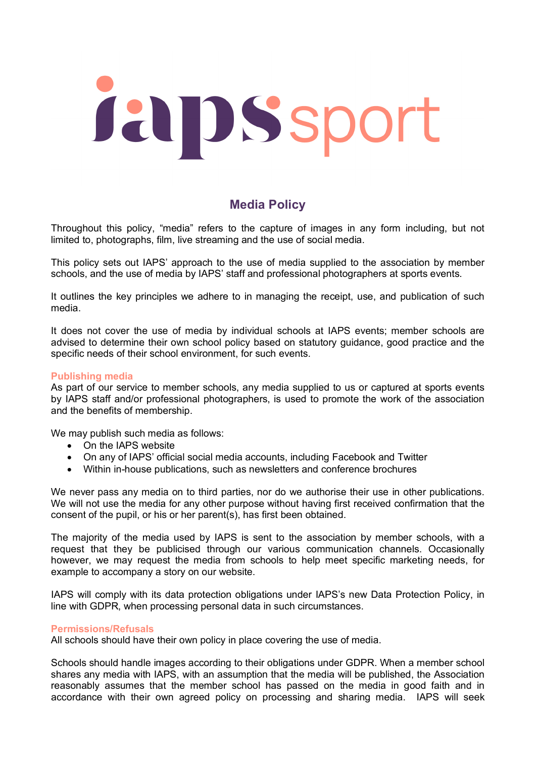# Jap Ssport

# **Media Policy**

Throughout this policy, "media" refers to the capture of images in any form including, but not limited to, photographs, film, live streaming and the use of social media.

This policy sets out IAPS' approach to the use of media supplied to the association by member schools, and the use of media by IAPS' staff and professional photographers at sports events.

It outlines the key principles we adhere to in managing the receipt, use, and publication of such media.

It does not cover the use of media by individual schools at IAPS events; member schools are advised to determine their own school policy based on statutory guidance, good practice and the specific needs of their school environment, for such events.

### **Publishing media**

As part of our service to member schools, any media supplied to us or captured at sports events by IAPS staff and/or professional photographers, is used to promote the work of the association and the benefits of membership.

We may publish such media as follows:

- On the IAPS website
- On any of IAPS' official social media accounts, including Facebook and Twitter
- Within in-house publications, such as newsletters and conference brochures

We never pass any media on to third parties, nor do we authorise their use in other publications. We will not use the media for any other purpose without having first received confirmation that the consent of the pupil, or his or her parent(s), has first been obtained.

The majority of the media used by IAPS is sent to the association by member schools, with a request that they be publicised through our various communication channels. Occasionally however, we may request the media from schools to help meet specific marketing needs, for example to accompany a story on our website.

IAPS will comply with its data protection obligations under IAPS's new Data Protection Policy, in line with GDPR, when processing personal data in such circumstances.

### **Permissions/Refusals**

All schools should have their own policy in place covering the use of media.

Schools should handle images according to their obligations under GDPR. When a member school shares any media with IAPS, with an assumption that the media will be published, the Association reasonably assumes that the member school has passed on the media in good faith and in accordance with their own agreed policy on processing and sharing media. IAPS will seek